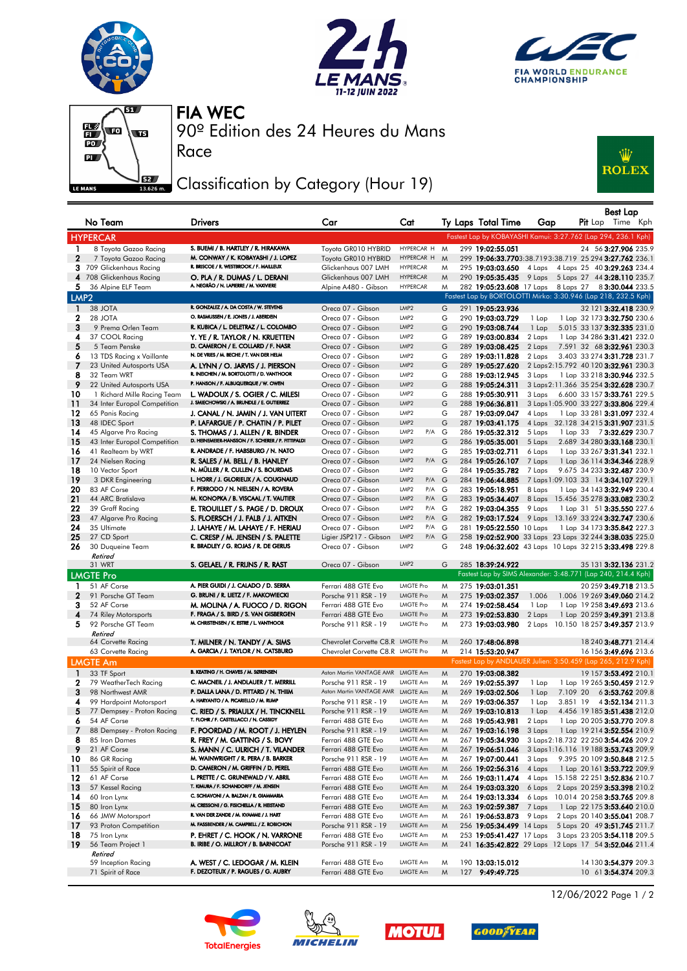







Race

90º Edition des 24 Heures du Mans FIA WEC

## Classification by Category (Hour 19)



|                  | No Team                                               | Drivers                                                                                | Car                                    | Cat                       |        | Ty Laps Total Time                                             | Gap                                             |          | $P$ it Lap | Best Lap                                                    | Time Kph |
|------------------|-------------------------------------------------------|----------------------------------------------------------------------------------------|----------------------------------------|---------------------------|--------|----------------------------------------------------------------|-------------------------------------------------|----------|------------|-------------------------------------------------------------|----------|
|                  | <b>HYPERCAR</b>                                       |                                                                                        |                                        |                           |        | Fastest Lap by KOBAYASHI Kamui: 3:27.762 (Lap 294, 236.1 Kph)  |                                                 |          |            |                                                             |          |
| $\mathbf{1}$     | 8 Toyota Gazoo Racing                                 | S. BUEMI / B. HARTLEY / R. HIRAKAWA                                                    | Toyota GR010 HYBRID                    | HYPERCAR H                | M      | 299 19:02:55.051                                               |                                                 |          |            | 24 56 3:27.906 235.9                                        |          |
| $\mathbf{2}$     | 7 Toyota Gazoo Racing                                 | M. CONWAY / K. KOBAYASHI / J. LOPEZ                                                    | Toyota GR010 HYBRID                    | HYPERCAR H                | M      | 299 19:06:33.7703:38.7193:38.719 25 294 3:27.762 236.1         |                                                 |          |            |                                                             |          |
|                  | 3 709 Glickenhaus Racing                              | R. BRISCOE / R. WESTBROOK / F. MAILLEUX                                                | Glickenhaus 007 LMH                    | <b>HYPERCAR</b>           | M      | 295 19:03:03.650                                               | 4 Laps                                          |          |            | 4 Laps 25 40 3:29.263 234.4                                 |          |
|                  | 4 708 Glickenhaus Racing                              | O. PLA / R. DUMAS / L. DERANI                                                          | Glickenhaus 007 LMH                    | <b>HYPERCAR</b>           | M      | 290 19:05:35.435                                               | 9 Laps 5 Laps 27 44 3:28.110 235.7              |          |            |                                                             |          |
| 5.               | 36 Alpine ELF Team                                    | A. NEGRÃO / N. LAPIERRE / M. VAXIVIERE                                                 | Alpine A480 - Gibson                   | <b>HYPERCAR</b>           | M      | 282 19:05:23.608 17 Laps 8 Laps 27 8 3:30.044 233.5            |                                                 |          |            |                                                             |          |
| LMP <sub>2</sub> |                                                       |                                                                                        |                                        |                           |        | Fastest Lap by BORTOLOTTI Mirko: 3:30.946 (Lap 218, 232.5 Kph) |                                                 |          |            |                                                             |          |
|                  |                                                       | R. GONZALEZ / A. DA COSTA / W. STEVENS                                                 |                                        |                           |        |                                                                |                                                 |          |            |                                                             |          |
| $\blacksquare$   | 38 JOTA<br>28 JOTA                                    | O. RASMUSSEN / E. JONES / J. ABERDEIN                                                  | Oreca 07 - Gibson                      | LMP2                      | G      | 291 19:05:23.936                                               |                                                 |          |            | 32 121 3:32.418 230.9                                       |          |
| 2                |                                                       |                                                                                        | Oreca 07 - Gibson                      | LMP2                      | G      | 290 19:03:03.729                                               | 1 Lap                                           |          |            | 1 Lap 32 173 3:32.750 230.6                                 |          |
| 3                | 9 Prema Orlen Team                                    | R. KUBICA / L. DELETRAZ / L. COLOMBO                                                   | Oreca 07 - Gibson                      | LMP2                      | G      | 290 19:03:08.744                                               | 1 Lap                                           |          |            | 5.015 33 137 3:32.335 231.0                                 |          |
| 4<br>5           | 37 COOL Racing                                        | Y. YE / R. TAYLOR / N. KRUETTEN<br>D. CAMERON / E. COLLARD / F. NASR                   | Oreca 07 - Gibson                      | LMP2                      | G      | 289 19:03:00.834                                               | 2 Laps                                          |          |            | 1 Lap 34 286 3:31.421 232.0                                 |          |
|                  | 5 Team Penske                                         | N. DE VRIES / M. BECHE / T. VAN DER HELM                                               | Oreca 07 - Gibson                      | LMP2                      | G      | 289 19:03:08.425                                               | 2 Laps                                          |          |            | 7.591 32 68 3:32.961 230.3                                  |          |
| 6<br>7           | 13 TDS Racing x Vaillante                             |                                                                                        | Oreca 07 - Gibson                      | LMP2<br>LMP <sub>2</sub>  | G      | 289 19:03:11.828                                               | 2 Laps                                          |          |            | 3.403 33 274 3:31.728 231.7                                 |          |
| 8                | 23 United Autosports USA                              | A. LYNN / O. JARVIS / J. PIERSON<br>R. INEICHEN / M. BORTOLOTTI / D. VANTHOOR          | Oreca 07 - Gibson                      | LMP2                      | G      | 289 19:05:27.620                                               | 2 Laps 2:15.792 40 120 3:32.961 230.3           |          |            |                                                             |          |
|                  | 32 Team WRT                                           | P. HANSON / F. ALBUQUERQUE / W. OWEN                                                   | Oreca 07 - Gibson                      | LMP2                      | G      | 288 19:03:12.945                                               | 3 Laps                                          |          |            | 1 Lap 33 218 3:30.946 232.5                                 |          |
| 9<br>10          | 22 United Autosports USA                              |                                                                                        | Oreca 07 - Gibson                      | LMP <sub>2</sub>          | G      | 288 19:05:24.311                                               | 3 Laps 2:11.366 35 254 3:32.628 230.7           |          |            |                                                             |          |
| 11               | 1 Richard Mille Racing Team                           | L. WADOUX / S. OGIER / C. MILESI<br>J. SMIECHOWSKI / A. BRUNDLE / E. GUTIERREZ         | Oreca 07 - Gibson                      | LMP2                      | G<br>G | 288 19:05:30.911<br>288 19:06:36.811                           | 3 Laps<br>3 Laps 1:05.900 33 227 3:33.806 229.4 |          |            | 6.600 33 157 3:33.761 229.5                                 |          |
| 12               | 34 Inter Europol Competition                          |                                                                                        | Oreca 07 - Gibson                      | LMP2                      | G      |                                                                | 4 Laps                                          |          |            |                                                             |          |
| 13               | 65 Panis Racing<br>48 IDEC Sport                      | J. CANAL / N. JAMIN / J. VAN UITERT<br>P. LAFARGUE / P. CHATIN / P. PILET              | Oreca 07 - Gibson<br>Oreca 07 - Gibson | LMP2                      | G      | 287 19:03:09.047<br>287 19:03:41.175                           |                                                 |          |            | 1 Lap 33 281 3:31.097 232.4<br>32.128 34 215 3:31.907 231.5 |          |
| 14               |                                                       |                                                                                        | Oreca 07 - Gibson                      | LMP2<br>P/A G             |        |                                                                | 4 Laps                                          |          |            |                                                             |          |
| 15               | 45 Algarve Pro Racing<br>43 Inter Europol Competition | S. THOMAS / J. ALLEN / R. BINDER<br>D. HEINEMEIER-HANSSON / F. SCHERER / P. FITTIPALDI | Oreca 07 - Gibson                      | LMP <sub>2</sub>          | G      | 286 19:05:32.312<br>286 19:05:35.001                           | 5 Laps<br>5 Laps                                |          |            | 1 Lap 33 73:32.629 230.7<br>2.689 34 280 3:33.168 230.1     |          |
| 16               | 41 Realteam by WRT                                    | R. ANDRADE / F. HABSBURG / N. NATO                                                     | Oreca 07 - Gibson                      | LMP2                      | G      | 285 19:03:02.711                                               | 6 Laps                                          |          |            | 1 Lap 33 267 3:31.341 232.1                                 |          |
| 17               | 24 Nielsen Racing                                     | R. SALES / M. BELL / B. HANLEY                                                         | Oreca 07 - Gibson                      | LMP <sub>2</sub><br>P/A G |        | 284 19:05:26.107                                               | 7 Laps                                          |          |            | 1 Lap 36 114 3:34.346 228.9                                 |          |
| 18               | 10 Vector Sport                                       | N. MÜLLER / R. CULLEN / S. BOURDAIS                                                    | Oreca 07 - Gibson                      | LMP <sub>2</sub>          | G      | 284 19:05:35.782                                               | 7 Laps                                          |          |            | 9.675 34 233 3:32.487 230.9                                 |          |
| 19               | 3 DKR Engineering                                     | L. HORR / J. GLORIEUX / A. COUGNAUD                                                    | Oreca 07 - Gibson                      | LMP <sub>2</sub><br>P/A G |        | 284 19:06:44.885                                               | 7 Laps 1:09.103 33 14 3:34.107 229.1            |          |            |                                                             |          |
| 20               | 83 AF Corse                                           | F. PERRODO / N. NIELSEN / A. ROVERA                                                    | Oreca 07 - Gibson                      | LMP2<br>P/A G             |        | 283 19:05:18.951                                               | 8 Laps                                          |          |            | 1 Lap 34 143 3:32.949 230.4                                 |          |
| 21               | 44 ARC Bratislava                                     | M. KONOPKA / B. VISCAAL / T. VAUTIER                                                   | Oreca 07 - Gibson                      | LMP <sub>2</sub><br>P/A G |        | 283 19:05:34.407                                               | 8 Laps                                          |          |            | 15.456 35 278 <b>3:33.082</b> 230.2                         |          |
| 22               | 39 Graff Racing                                       | e. Trouillet / S. Page / D. Droux                                                      | Oreca 07 - Gibson                      | LMP2<br>P/A G             |        | 282 19:03:04.355                                               | 9 Laps                                          |          |            | 1 Lap 31 51 3:35.550 227.6                                  |          |
| 23               | 47 Algarve Pro Racing                                 | S. FLOERSCH / J. FALB / J. AITKEN                                                      | Oreca 07 - Gibson                      | LMP <sub>2</sub><br>P/A G |        | 282 19:03:17.524                                               | 9 Laps 13.169 33 224 3:32.747 230.6             |          |            |                                                             |          |
| 24               | 35 Ultimate                                           | J. LAHAYE / M. LAHAYE / F. HERIAU                                                      | Oreca 07 - Gibson                      | LMP2<br>P/A G             |        | 281 19:05:22.550 10 Laps                                       |                                                 |          |            | 1 Lap 34 173 3:35.842 227.3                                 |          |
| 25               | 27 CD Sport                                           | C. CRESP / M. JENSEN / S. PALETTE                                                      | Ligier JSP217 - Gibson                 | LMP <sub>2</sub><br>P/A G |        | 258 19:02:52.900 33 Laps 23 Laps 32 244 3:38.035 225.0         |                                                 |          |            |                                                             |          |
| 26               | 30 Duqueine Team                                      | R. BRADLEY / G. ROJAS / R. DE GERUS                                                    | Oreca 07 - Gibson                      | LMP2                      | G      | 248 19:06:32.602 43 Laps 10 Laps 32 215 3:33.498 229.8         |                                                 |          |            |                                                             |          |
|                  | Retired                                               |                                                                                        |                                        |                           |        |                                                                |                                                 |          |            |                                                             |          |
|                  | 31 WRT                                                | S. GELAEL / R. FRIJNS / R. RAST                                                        | Oreca 07 - Gibson                      | LMP <sub>2</sub>          | G      | 285 18:39:24.922                                               |                                                 |          |            | 35 131 3:32.136 231.2                                       |          |
|                  | <b>LMGTE Pro</b>                                      |                                                                                        |                                        |                           |        | Fastest Lap by SIMS Alexander: 3:48.771 (Lap 240, 214.4 Kph)   |                                                 |          |            |                                                             |          |
| 1                | 51 AF Corse                                           | A. PIER GUIDI / J. CALADO / D. SERRA                                                   | Ferrari 488 GTE Evo                    | <b>LMGTE Pro</b>          | M      | 275 19:03:01.351                                               |                                                 |          |            | 20 259 3:49.718 213.5                                       |          |
| $\mathbf{2}$     | 91 Porsche GT Team                                    | G. BRUNI / R. LIETZ / F. MAKOWIECKI                                                    | Porsche 911 RSR - 19                   | <b>LMGTE Pro</b>          | M      | 275 19:03:02.357                                               | 1.006                                           |          |            | 1.006 19 269 3:49.060 214.2                                 |          |
| 3                | 52 AF Corse                                           | M. MOLINA / A. FUOCO / D. RIGON                                                        | Ferrari 488 GTE Evo                    | <b>LMGTE Pro</b>          | M      | 274 19:02:58.454                                               | 1 Lap                                           |          |            | 1 Lap 19 258 3:49.693 213.6                                 |          |
| 4                | 74 Riley Motorsports                                  | F. FRAGA / S. BIRD / S. VAN GISBERGEN                                                  | Ferrari 488 GTE Evo                    | <b>LMGTE Pro</b>          | M      | 273 19:02:53.830                                               | 2 Laps                                          |          |            | 1 Lap 20 259 3:49.391 213.8                                 |          |
| 5                | 92 Porsche GT Team                                    | M. CHRISTENSEN / K. ESTRE / L. VANTHOOR                                                | Porsche 911 RSR - 19                   | <b>LMGTE Pro</b>          | M      | 273 19:03:03.980                                               | 2 Laps 10.150 18 257 3:49.357 213.9             |          |            |                                                             |          |
|                  | Retired                                               |                                                                                        |                                        |                           |        |                                                                |                                                 |          |            |                                                             |          |
|                  | 64 Corvette Racing                                    | T. MILNER / N. TANDY / A. SIMS                                                         | Chevrolet Corvette C8.R LMGTE Pro      |                           | M      | 260 17:48:06.898                                               |                                                 |          |            | 18 240 3:48.771 214.4                                       |          |
|                  | 63 Corvette Racing                                    | A. GARCIA / J. TAYLOR / N. CATSBURG                                                    | Chevrolet Corvette C8.R LMGTE Pro      |                           | M      | 214 15:53:20.947                                               |                                                 |          |            | 16 156 3:49.696 213.6                                       |          |
|                  | <b>LMGTE Am</b>                                       |                                                                                        |                                        |                           |        | Fastest Lap by ANDLAUER Julien: 3:50.459 (Lap 265, 212.9 Kph)  |                                                 |          |            |                                                             |          |
| $\mathbf{1}$     | 33 TF Sport                                           | B. KEATING / H. CHAVES / M. SØRENSEN                                                   | Aston Martin VANTAGE AMR LMGTE Am      |                           | M      | 270 19:03:08.382                                               |                                                 |          |            | 19 157 3:53.492 210.1                                       |          |
| 2                | 79 WeatherTech Racing                                 | C. MACNEIL / J. ANDLAUER / T. MERRILL                                                  | Porsche 911 RSR - 19                   | LMGTE Am                  | M      | 269 19:02:55.397                                               | 1 Lap                                           |          |            | 1 Lap 19 265 3:50.459 212.9                                 |          |
| 3                | 98 Northwest AMR                                      | P. DALLA LANA / D. PITTARD / N. THIIM                                                  | Aston Martin VANTAGE AMR LMGTE Am      |                           | M      | 269 19:03:02.506                                               | 1 Lap                                           | 7.109 20 |            | 63:53.762 209.8                                             |          |
| 4                | 99 Hardpoint Motorsport                               | A. HARYANTO / A. PICARIELLO / M. RUMP                                                  | Porsche 911 RSR - 19                   | LMGTE Am                  | M      | 269 19:03:06.357                                               | 1 Lap                                           |          |            | 3.851 19 43:52.134 211.3                                    |          |
| 5                | 77 Dempsey - Proton Racing                            | C. RIED / S. PRIAULX / H. TINCKNELL                                                    | Porsche 911 RSR - 19                   | LMGTE Am                  | M      | 269 19:03:10.813                                               | 1 Lap                                           |          |            | 4.456 19 185 3:51.438 212.0                                 |          |
| 6                | 54 AF Corse                                           | T. FLOHR / F. CASTELLACCI / N. CASSIDY                                                 | Ferrari 488 GTE Evo                    | LMGTE Am                  | M      | 268 19:05:43.981                                               | 2 Laps                                          |          |            | 1 Lap 20 205 3:53.770 209.8                                 |          |
| 7                | 88 Dempsey - Proton Racing                            | F. POORDAD / M. ROOT / J. HEYLEN                                                       | Porsche 911 RSR - 19                   | LMGTE Am                  | M      | 267 19:03:16.198                                               | 3 Laps                                          |          |            | 1 Lap 19 214 3:52.554 210.9                                 |          |
| 8                | 85 Iron Dames                                         | R. FREY / M. GATTING / S. BOVY                                                         | Ferrari 488 GTE Evo                    | LMGTE Am                  | M      | 267 19:05:34.930                                               | 3 Laps 2:18.732 22 250 3:54.426 209.2           |          |            |                                                             |          |
| 9                | 21 AF Corse                                           | S. MANN / C. ULRICH / T. VILANDER                                                      | Ferrari 488 GTE Evo                    | LMGTE Am                  | M      | 267 19:06:51.046                                               | 3 Laps 1:16.116 19 188 3:53.743 209.9           |          |            |                                                             |          |
| 10               | 86 GR Racing                                          | M. WAINWRIGHT / R. PERA / B. BARKER                                                    | Porsche 911 RSR - 19                   | LMGTE Am                  | M      | 267 19:07:00.441                                               | 3 Laps                                          |          |            | 9.395 20 109 3:50.848 212.5                                 |          |
| 11               | 55 Spirit of Race                                     | D. CAMERON / M. GRIFFIN / D. PEREL                                                     | Ferrari 488 GTE Evo                    | LMGTE Am                  | M      | 266 19:02:56.316                                               | 4 Laps                                          |          |            | 1 Lap 20 161 3:53.722 209.9                                 |          |
| 12               | 61 AF Corse                                           | L. PRETTE / C. GRUNEWALD / V. ABRIL                                                    | Ferrari 488 GTE Evo                    | LMGTE Am                  | M      | 266 19:03:11.474                                               | 4 Laps 15.158 22 251 3:52.836 210.7             |          |            |                                                             |          |
| 13               | 57 Kessel Racing                                      | T. KIMURA / F. SCHANDORFF / M. JENSEN                                                  | Ferrari 488 GTE Evo                    | LMGTE Am                  | M      | 264 19:03:03.320                                               | 6 Laps                                          |          |            | 2 Laps 20 259 3:53.398 210.2                                |          |
| 14               | 60 Iron Lynx                                          | C. SCHIAVONI / A. BALZAN / R. GIAMMARIA                                                | Ferrari 488 GTE Evo                    | LMGTE Am                  | M      | 264 19:03:13.334                                               | 6 Laps 10.014 20 258 3:53.765 209.8             |          |            |                                                             |          |
| 15               | 80 Iron Lynx                                          | M. CRESSONI / G. FISICHELLA / R. HEISTAND                                              | Ferrari 488 GTE Evo                    | LMGTE Am                  | M      | 263 19:02:59.387                                               | 7 Laps                                          |          |            | 1 Lap 22 175 3:53.640 210.0                                 |          |
| 16               | 66 JMW Motorsport                                     | R. VAN DER ZANDE / M. KVAMME / J. HART                                                 | Ferrari 488 GTE Evo                    | LMGTE Am                  | M      | 261 19:06:53.873                                               | 9 Laps                                          |          |            | 2 Laps 20 140 3:55.041 208.7                                |          |
| 17               | 93 Proton Competition                                 | M. FASSBENDER / M. CAMPBELL / Z. ROBICHON                                              | Porsche 911 RSR - 19                   | LMGTE Am                  | M      | 256 19:05:34.499 14 Laps 5 Laps 20 49 3:51.745 211.7           |                                                 |          |            |                                                             |          |
| 18               | 75 Iron Lynx                                          | P. EHRET / C. HOOK / N. VARRONE                                                        | Ferrari 488 GTE Evo                    | LMGTE Am                  | M      | 253 19:05:41.427 17 Laps 3 Laps 23 205 3:54.118 209.5          |                                                 |          |            |                                                             |          |
| -19              | 56 Team Project 1                                     | B. IRIBE / O. MILLROY / B. BARNICOAT                                                   | Porsche 911 RSR - 19                   | LMGTE Am                  | M      | 241 16:35:42.822 29 Laps 12 Laps 17 54 3:52.046 211.4          |                                                 |          |            |                                                             |          |
|                  | Retired                                               |                                                                                        |                                        |                           |        |                                                                |                                                 |          |            |                                                             |          |
|                  | 59 Inception Racing                                   | A. WEST / C. LEDOGAR / M. KLEIN                                                        | Ferrari 488 GTE Evo                    | LMGTE Am                  | M      | 190 13:03:15.012                                               |                                                 |          |            | 14 130 3:54.379 209.3                                       |          |
|                  | 71 Spirit of Race                                     | F. DEZOTEUX / P. RAGUES / G. AUBRY                                                     | Ferrari 488 GTE Evo                    | LMGTE Am                  | M      | 127 9:49:49.725                                                |                                                 |          |            | 10 61 3:54.374 209.3                                        |          |









12/06/2022 Page 1 / 2